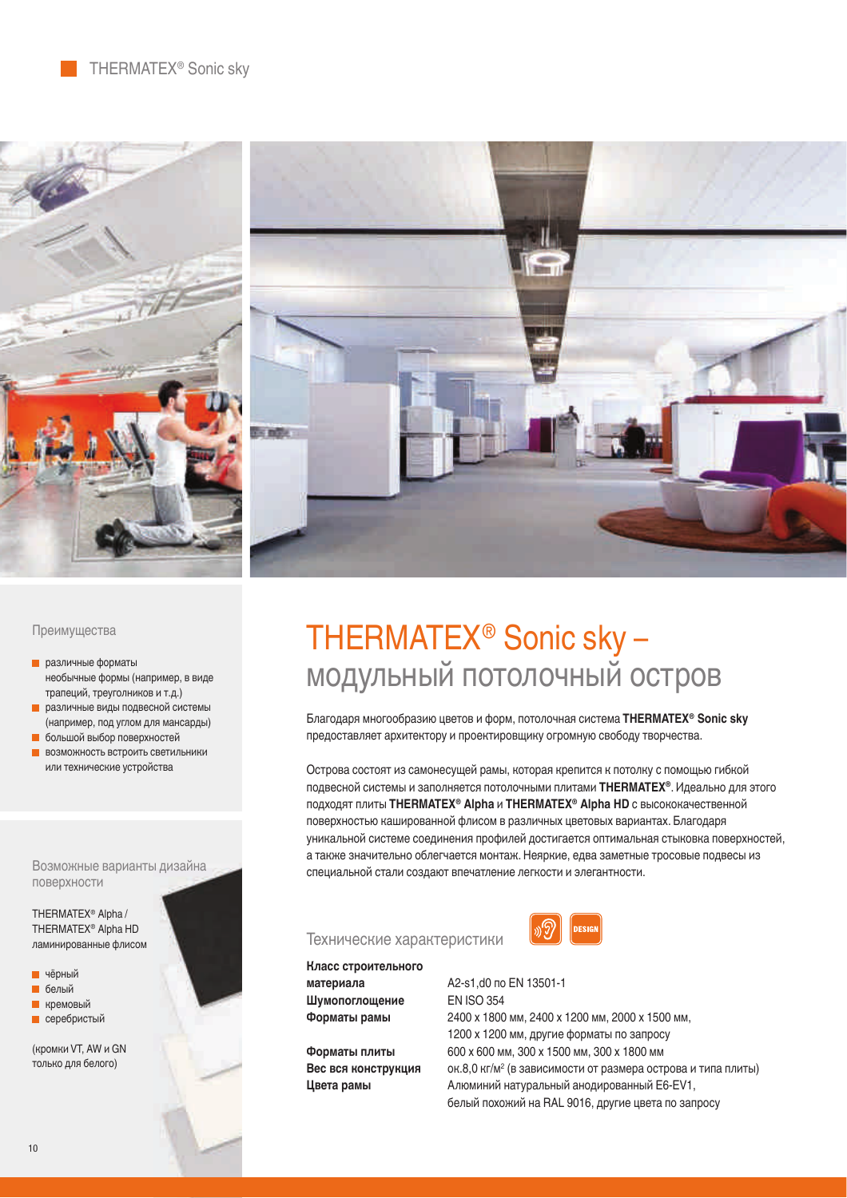

## Преимущества

- различные форматы необычные формы (например, в виде трапеций, треуголников и т.д.)
- **различные виды подвесной системы** (например, под углом для мансарды)
- **большой выбор поверхностей**
- **ВОЗМОЖНОСТЬ ВСТРОИТЬ СВЕТИЛЬНИКИ** или технические устройства

Возможные варианты дизайна поверхности

THERMATEX<sup>®</sup> Alpha / THERMATEX® Alpha HD ламинированные флисом

- **E** чёрный **П** белый
- **L** кремовый
- **серебристый**

(кромки VT, AW и GN только для белого)

## THERMATEX® Sonic sky – модульный потолочный остров

Благодаря многообразию цветов и форм, потолочная система THERMATEX<sup>®</sup> Sonic sky предоставляет архитектору и проектировщику огромную свободу творчества.

Острова состоят из самонесущей рамы, которая крепится к потолку с помощью гибкой подвесной системы и заполняется потолочными плитами THERMATEX<sup>®</sup>. Идеально для этого подходят плиты THERMATEX<sup>®</sup> Alpha и THERMATEX<sup>®</sup> Alpha HD с высококачественной поверхностью кашированной флисом в различных цветовых вариантах. Благодаря уникальной системе соединения профилей достигается оптимальная стыковка поверхностей, а также значительно облегчается монтаж. Неяркие, едва заметные тросовые подвесы из специальной стали создают впечатление легкости и элегантности.

## Технические характеристики

![](_page_0_Picture_17.jpeg)

Класс строительного Шумопоглощение EN ISO 354

**Вес вся конструкция** 

**ɚɋɡɓɟɖɋəɋ** ʿƘËʾƓ¼ʽɝɜ ʾˀ˂ʽʾƘʾ Форматы рамы 2400 х 1800 мм, 2400 х 1200 мм, 2000 х 1500 мм, 1200 х 1200 мм, другие форматы по запросу Форматы плиты 600 х 600 мм, 300 х 1500 мм, 300 х 1800 мм ок.8,0 кг/м<sup>2</sup> (в зависимости от размера острова и типа плиты) **Цвета рамы** Алюминий натуральный анодированный E6-EV1, белый похожий на RAL 9016, другие цвета по запросу